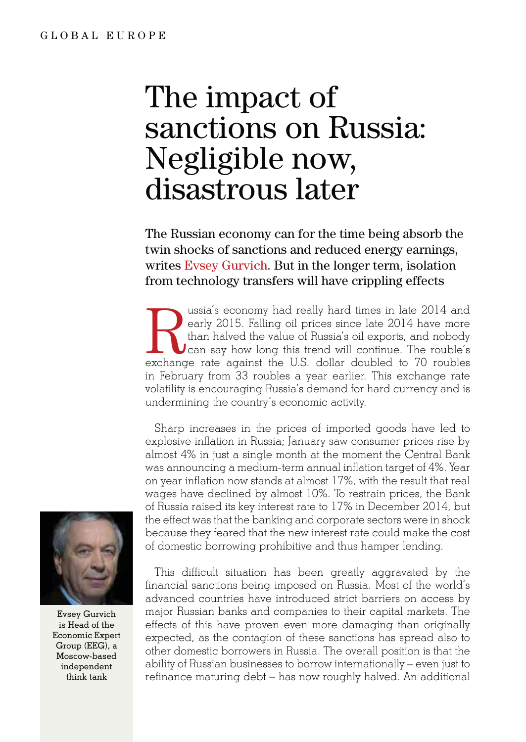## The impact of sanctions on Russia: Negligible now, disastrous later

The Russian economy can for the time being absorb the twin shocks of sanctions and reduced energy earnings, writes Evsey Gurvich. But in the longer term, isolation from technology transfers will have crippling effects

Ussia's economy had really hard times in late 2014 and early 2015. Falling oil prices since late 2014 have more than halved the value of Russia's oil exports, and nobody can say how long this trend will continue. The roubl early 2015. Falling oil prices since late 2014 have more than halved the value of Russia's oil exports, and nobody can say how long this trend will continue. The rouble's in February from 33 roubles a year earlier. This exchange rate volatility is encouraging Russia's demand for hard currency and is undermining the country's economic activity.

Sharp increases in the prices of imported goods have led to explosive inflation in Russia; January saw consumer prices rise by almost 4% in just a single month at the moment the Central Bank was announcing a medium-term annual inflation target of 4%. Year on year inflation now stands at almost 17%, with the result that real wages have declined by almost 10%. To restrain prices, the Bank of Russia raised its key interest rate to 17% in December 2014, but the effect was that the banking and corporate sectors were in shock because they feared that the new interest rate could make the cost of domestic borrowing prohibitive and thus hamper lending.

This difficult situation has been greatly aggravated by the financial sanctions being imposed on Russia. Most of the world's advanced countries have introduced strict barriers on access by major Russian banks and companies to their capital markets. The effects of this have proven even more damaging than originally expected, as the contagion of these sanctions has spread also to other domestic borrowers in Russia. The overall position is that the ability of Russian businesses to borrow internationally – even just to refinance maturing debt – has now roughly halved. An additional



Evsey Gurvich is Head of the Economic Expert Group (EEG), a Moscow-based independent think tank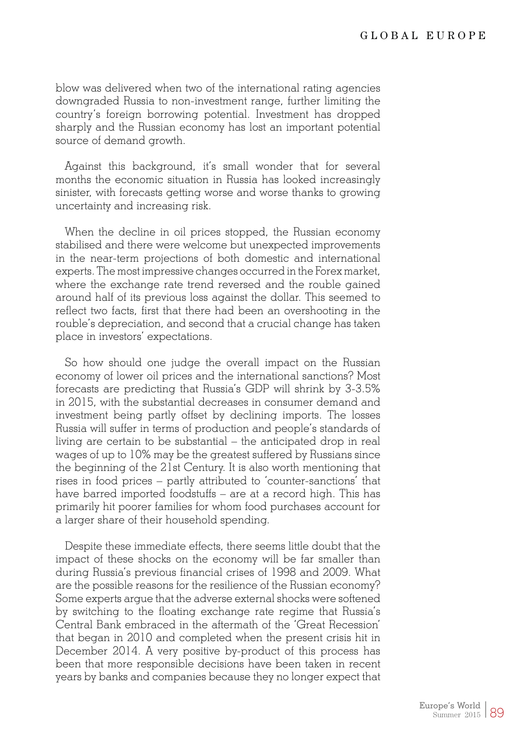blow was delivered when two of the international rating agencies downgraded Russia to non-investment range, further limiting the country's foreign borrowing potential. Investment has dropped sharply and the Russian economy has lost an important potential source of demand growth.

Against this background, it's small wonder that for several months the economic situation in Russia has looked increasingly sinister, with forecasts getting worse and worse thanks to growing uncertainty and increasing risk.

When the decline in oil prices stopped, the Russian economy stabilised and there were welcome but unexpected improvements in the near-term projections of both domestic and international experts. The most impressive changes occurred in the Forex market, where the exchange rate trend reversed and the rouble gained around half of its previous loss against the dollar. This seemed to reflect two facts, first that there had been an overshooting in the rouble's depreciation, and second that a crucial change has taken place in investors' expectations.

So how should one judge the overall impact on the Russian economy of lower oil prices and the international sanctions? Most forecasts are predicting that Russia's GDP will shrink by 3-3.5% in 2015, with the substantial decreases in consumer demand and investment being partly offset by declining imports. The losses Russia will suffer in terms of production and people's standards of living are certain to be substantial – the anticipated drop in real wages of up to 10% may be the greatest suffered by Russians since the beginning of the 21st Century. It is also worth mentioning that rises in food prices – partly attributed to 'counter-sanctions' that have barred imported foodstuffs – are at a record high. This has primarily hit poorer families for whom food purchases account for a larger share of their household spending.

Despite these immediate effects, there seems little doubt that the impact of these shocks on the economy will be far smaller than during Russia's previous financial crises of 1998 and 2009. What are the possible reasons for the resilience of the Russian economy? Some experts argue that the adverse external shocks were softened by switching to the floating exchange rate regime that Russia's Central Bank embraced in the aftermath of the 'Great Recession' that began in 2010 and completed when the present crisis hit in December 2014. A very positive by-product of this process has been that more responsible decisions have been taken in recent years by banks and companies because they no longer expect that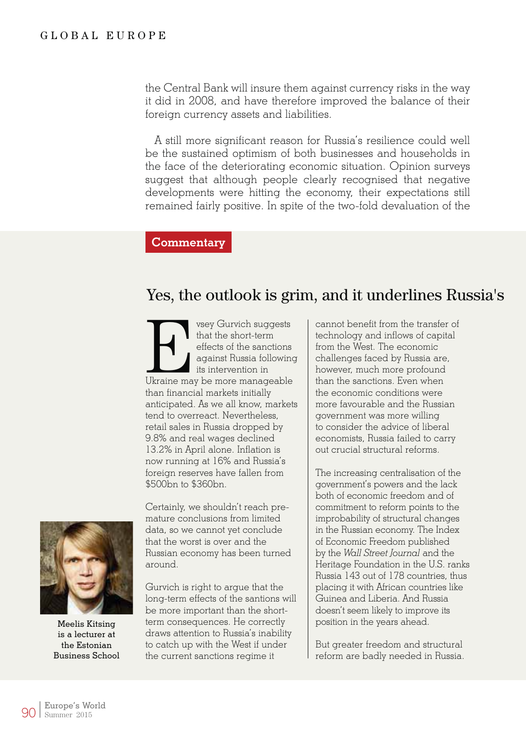the Central Bank will insure them against currency risks in the way it did in 2008, and have therefore improved the balance of their foreign currency assets and liabilities.

A still more significant reason for Russia's resilience could well be the sustained optimism of both businesses and households in the face of the deteriorating economic situation. Opinion surveys suggest that although people clearly recognised that negative developments were hitting the economy, their expectations still remained fairly positive. In spite of the two-fold devaluation of the

## **Commentary**

## Yes, the outlook is grim, and it underlines Russia's

vsey Gurvich suggests<br>
that the short-term<br>
effects of the sanctions<br>
against Russia following<br>
its intervention in<br>
Ukraine may be more manageable that the short-term effects of the sanctions against Russia following its intervention in than financial markets initially anticipated. As we all know, markets tend to overreact. Nevertheless, retail sales in Russia dropped by 9.8% and real wages declined 13.2% in April alone. Inflation is now running at 16% and Russia's foreign reserves have fallen from \$500bn to \$360bn.

Certainly, we shouldn't reach premature conclusions from limited data, so we cannot yet conclude that the worst is over and the Russian economy has been turned around.

Gurvich is right to argue that the long-term effects of the santions will be more important than the shortterm consequences. He correctly draws attention to Russia's inability to catch up with the West if under the current sanctions regime it

cannot benefit from the transfer of technology and inflows of capital from the West. The economic challenges faced by Russia are, however, much more profound than the sanctions. Even when the economic conditions were more favourable and the Russian government was more willing to consider the advice of liberal economists, Russia failed to carry out crucial structural reforms.

The increasing centralisation of the government's powers and the lack both of economic freedom and of commitment to reform points to the improbability of structural changes in the Russian economy. The Index of Economic Freedom published by the *Wall Street Journal* and the Heritage Foundation in the U.S. ranks Russia 143 out of 178 countries, thus placing it with African countries like Guinea and Liberia. And Russia doesn't seem likely to improve its position in the years ahead.

But greater freedom and structural reform are badly needed in Russia.



Meelis Kitsing is a lecturer at the Estonian Business School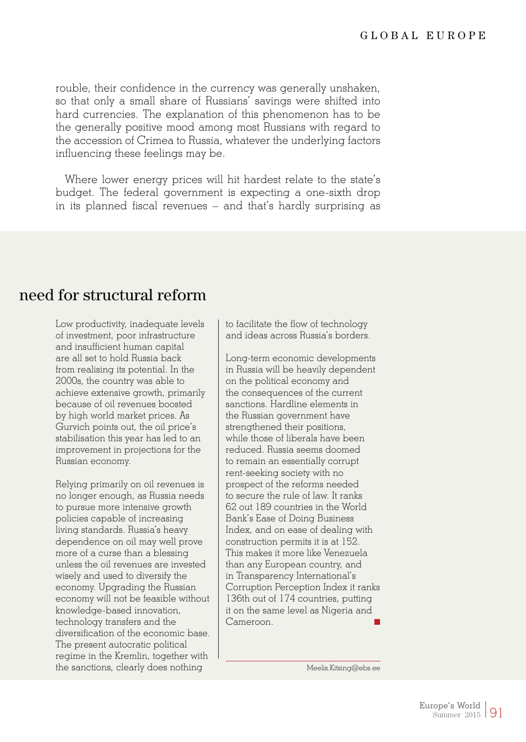rouble, their confidence in the currency was generally unshaken, so that only a small share of Russians' savings were shifted into hard currencies. The explanation of this phenomenon has to be the generally positive mood among most Russians with regard to the accession of Crimea to Russia, whatever the underlying factors influencing these feelings may be.

Where lower energy prices will hit hardest relate to the state's budget. The federal government is expecting a one-sixth drop in its planned fiscal revenues – and that's hardly surprising as

## need for structural reform

Low productivity, inadequate levels of investment, poor infrastructure and insufficient human capital are all set to hold Russia back from realising its potential. In the 2000s, the country was able to achieve extensive growth, primarily because of oil revenues boosted by high world market prices. As Gurvich points out, the oil price's stabilisation this year has led to an improvement in projections for the Russian economy.

Relying primarily on oil revenues is no longer enough, as Russia needs to pursue more intensive growth policies capable of increasing living standards. Russia's heavy dependence on oil may well prove more of a curse than a blessing unless the oil revenues are invested wisely and used to diversify the economy. Upgrading the Russian economy will not be feasible without knowledge-based innovation, technology transfers and the diversification of the economic base. The present autocratic political regime in the Kremlin, together with the sanctions, clearly does nothing

to facilitate the flow of technology and ideas across Russia's borders.

Long-term economic developments in Russia will be heavily dependent on the political economy and the consequences of the current sanctions. Hardline elements in the Russian government have strengthened their positions, while those of liberals have been reduced. Russia seems doomed to remain an essentially corrupt rent-seeking society with no prospect of the reforms needed to secure the rule of law. It ranks 62 out 189 countries in the World Bank's Ease of Doing Business Index, and on ease of dealing with construction permits it is at 152. This makes it more like Venezuela than any European country, and in Transparency International's Corruption Perception Index it ranks 136th out of 174 countries, putting it on the same level as Nigeria and Cameroon.

Meelis.Kitsing@ebs.ee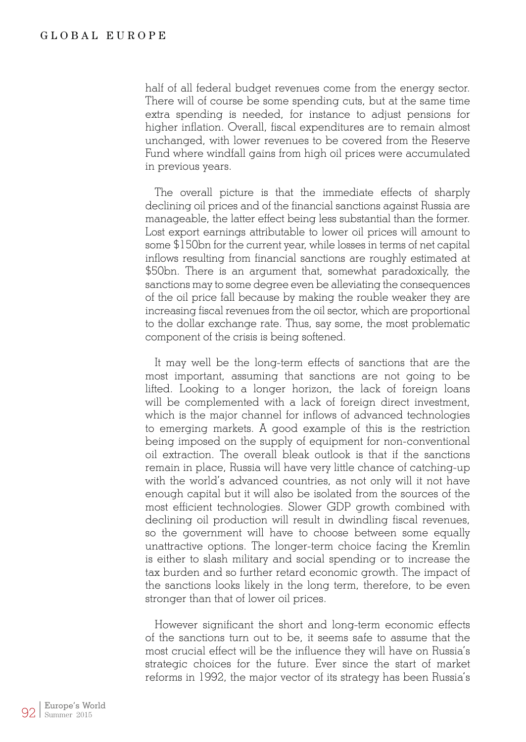half of all federal budget revenues come from the energy sector. There will of course be some spending cuts, but at the same time extra spending is needed, for instance to adjust pensions for higher inflation. Overall, fiscal expenditures are to remain almost unchanged, with lower revenues to be covered from the Reserve Fund where windfall gains from high oil prices were accumulated in previous years.

The overall picture is that the immediate effects of sharply declining oil prices and of the financial sanctions against Russia are manageable, the latter effect being less substantial than the former. Lost export earnings attributable to lower oil prices will amount to some \$150bn for the current year, while losses in terms of net capital inflows resulting from financial sanctions are roughly estimated at \$50bn. There is an argument that, somewhat paradoxically, the sanctions may to some degree even be alleviating the consequences of the oil price fall because by making the rouble weaker they are increasing fiscal revenues from the oil sector, which are proportional to the dollar exchange rate. Thus, say some, the most problematic component of the crisis is being softened.

It may well be the long-term effects of sanctions that are the most important, assuming that sanctions are not going to be lifted. Looking to a longer horizon, the lack of foreign loans will be complemented with a lack of foreign direct investment, which is the major channel for inflows of advanced technologies to emerging markets. A good example of this is the restriction being imposed on the supply of equipment for non-conventional oil extraction. The overall bleak outlook is that if the sanctions remain in place, Russia will have very little chance of catching-up with the world's advanced countries, as not only will it not have enough capital but it will also be isolated from the sources of the most efficient technologies. Slower GDP growth combined with declining oil production will result in dwindling fiscal revenues, so the government will have to choose between some equally unattractive options. The longer-term choice facing the Kremlin is either to slash military and social spending or to increase the tax burden and so further retard economic growth. The impact of the sanctions looks likely in the long term, therefore, to be even stronger than that of lower oil prices.

However significant the short and long-term economic effects of the sanctions turn out to be, it seems safe to assume that the most crucial effect will be the influence they will have on Russia's strategic choices for the future. Ever since the start of market reforms in 1992, the major vector of its strategy has been Russia's